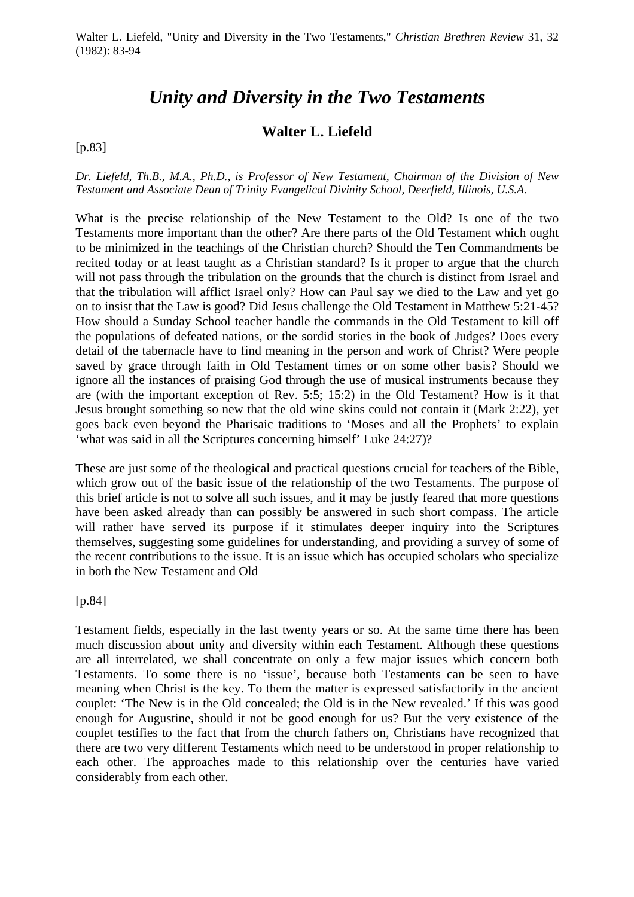# *Unity and Diversity in the Two Testaments*

## **Walter L. Liefeld**

[p.83]

*Dr. Liefeld, Th.B., M.A., Ph.D., is Professor of New Testament, Chairman of the Division of New Testament and Associate Dean of Trinity Evangelical Divinity School, Deerfield, Illinois, U.S.A.* 

What is the precise relationship of the New Testament to the Old? Is one of the two Testaments more important than the other? Are there parts of the Old Testament which ought to be minimized in the teachings of the Christian church? Should the Ten Commandments be recited today or at least taught as a Christian standard? Is it proper to argue that the church will not pass through the tribulation on the grounds that the church is distinct from Israel and that the tribulation will afflict Israel only? How can Paul say we died to the Law and yet go on to insist that the Law is good? Did Jesus challenge the Old Testament in Matthew 5:21-45? How should a Sunday School teacher handle the commands in the Old Testament to kill off the populations of defeated nations, or the sordid stories in the book of Judges? Does every detail of the tabernacle have to find meaning in the person and work of Christ? Were people saved by grace through faith in Old Testament times or on some other basis? Should we ignore all the instances of praising God through the use of musical instruments because they are (with the important exception of Rev. 5:5; 15:2) in the Old Testament? How is it that Jesus brought something so new that the old wine skins could not contain it (Mark 2:22), yet goes back even beyond the Pharisaic traditions to 'Moses and all the Prophets' to explain 'what was said in all the Scriptures concerning himself' Luke 24:27)?

These are just some of the theological and practical questions crucial for teachers of the Bible, which grow out of the basic issue of the relationship of the two Testaments. The purpose of this brief article is not to solve all such issues, and it may be justly feared that more questions have been asked already than can possibly be answered in such short compass. The article will rather have served its purpose if it stimulates deeper inquiry into the Scriptures themselves, suggesting some guidelines for understanding, and providing a survey of some of the recent contributions to the issue. It is an issue which has occupied scholars who specialize in both the New Testament and Old

[p.84]

Testament fields, especially in the last twenty years or so. At the same time there has been much discussion about unity and diversity within each Testament. Although these questions are all interrelated, we shall concentrate on only a few major issues which concern both Testaments. To some there is no 'issue', because both Testaments can be seen to have meaning when Christ is the key. To them the matter is expressed satisfactorily in the ancient couplet: 'The New is in the Old concealed; the Old is in the New revealed.' If this was good enough for Augustine, should it not be good enough for us? But the very existence of the couplet testifies to the fact that from the church fathers on, Christians have recognized that there are two very different Testaments which need to be understood in proper relationship to each other. The approaches made to this relationship over the centuries have varied considerably from each other.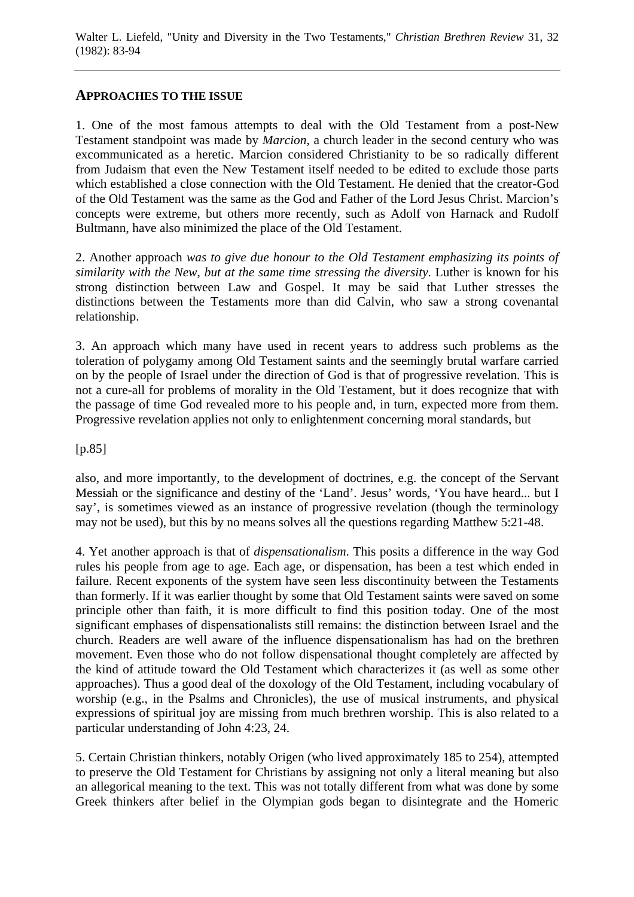#### **APPROACHES TO THE ISSUE**

1. One of the most famous attempts to deal with the Old Testament from a post-New Testament standpoint was made by *Marcion*, a church leader in the second century who was excommunicated as a heretic. Marcion considered Christianity to be so radically different from Judaism that even the New Testament itself needed to be edited to exclude those parts which established a close connection with the Old Testament. He denied that the creator-God of the Old Testament was the same as the God and Father of the Lord Jesus Christ. Marcion's concepts were extreme, but others more recently, such as Adolf von Harnack and Rudolf Bultmann, have also minimized the place of the Old Testament.

2. Another approach *was to give due honour to the Old Testament emphasizing its points of similarity with the New, but at the same time stressing the diversity*. Luther is known for his strong distinction between Law and Gospel. It may be said that Luther stresses the distinctions between the Testaments more than did Calvin, who saw a strong covenantal relationship.

3. An approach which many have used in recent years to address such problems as the toleration of polygamy among Old Testament saints and the seemingly brutal warfare carried on by the people of Israel under the direction of God is that of progressive revelation. This is not a cure-all for problems of morality in the Old Testament, but it does recognize that with the passage of time God revealed more to his people and, in turn, expected more from them. Progressive revelation applies not only to enlightenment concerning moral standards, but

[p.85]

also, and more importantly, to the development of doctrines, e.g. the concept of the Servant Messiah or the significance and destiny of the 'Land'. Jesus' words, 'You have heard... but I say', is sometimes viewed as an instance of progressive revelation (though the terminology may not be used), but this by no means solves all the questions regarding Matthew 5:21-48.

4. Yet another approach is that of *dispensationalism*. This posits a difference in the way God rules his people from age to age. Each age, or dispensation, has been a test which ended in failure. Recent exponents of the system have seen less discontinuity between the Testaments than formerly. If it was earlier thought by some that Old Testament saints were saved on some principle other than faith, it is more difficult to find this position today. One of the most significant emphases of dispensationalists still remains: the distinction between Israel and the church. Readers are well aware of the influence dispensationalism has had on the brethren movement. Even those who do not follow dispensational thought completely are affected by the kind of attitude toward the Old Testament which characterizes it (as well as some other approaches). Thus a good deal of the doxology of the Old Testament, including vocabulary of worship (e.g., in the Psalms and Chronicles), the use of musical instruments, and physical expressions of spiritual joy are missing from much brethren worship. This is also related to a particular understanding of John 4:23, 24.

5. Certain Christian thinkers, notably Origen (who lived approximately 185 to 254), attempted to preserve the Old Testament for Christians by assigning not only a literal meaning but also an allegorical meaning to the text. This was not totally different from what was done by some Greek thinkers after belief in the Olympian gods began to disintegrate and the Homeric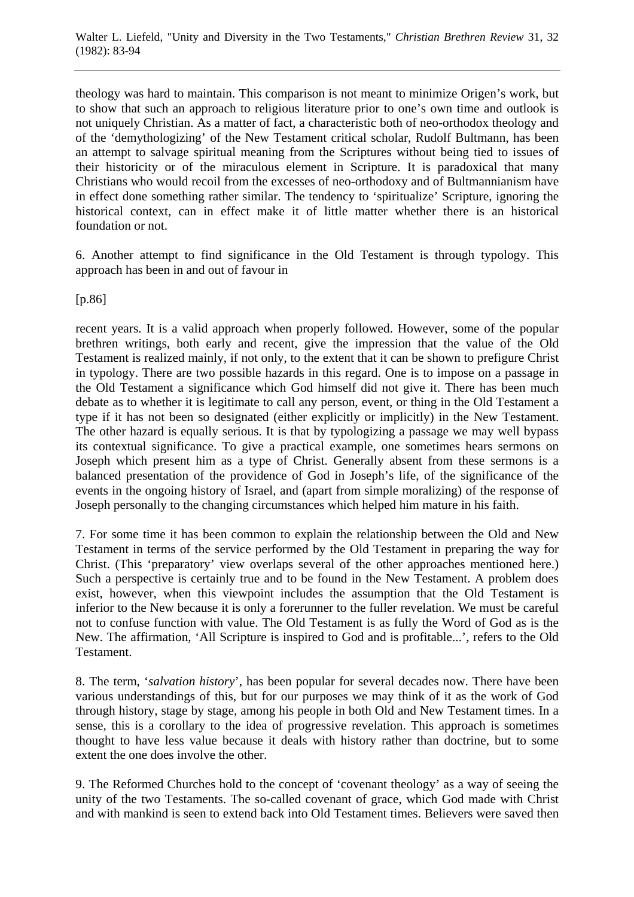theology was hard to maintain. This comparison is not meant to minimize Origen's work, but to show that such an approach to religious literature prior to one's own time and outlook is not uniquely Christian. As a matter of fact, a characteristic both of neo-orthodox theology and of the 'demythologizing' of the New Testament critical scholar, Rudolf Bultmann, has been an attempt to salvage spiritual meaning from the Scriptures without being tied to issues of their historicity or of the miraculous element in Scripture. It is paradoxical that many Christians who would recoil from the excesses of neo-orthodoxy and of Bultmannianism have in effect done something rather similar. The tendency to 'spiritualize' Scripture, ignoring the historical context, can in effect make it of little matter whether there is an historical foundation or not.

6. Another attempt to find significance in the Old Testament is through typology. This approach has been in and out of favour in

[p.86]

recent years. It is a valid approach when properly followed. However, some of the popular brethren writings, both early and recent, give the impression that the value of the Old Testament is realized mainly, if not only, to the extent that it can be shown to prefigure Christ in typology. There are two possible hazards in this regard. One is to impose on a passage in the Old Testament a significance which God himself did not give it. There has been much debate as to whether it is legitimate to call any person, event, or thing in the Old Testament a type if it has not been so designated (either explicitly or implicitly) in the New Testament. The other hazard is equally serious. It is that by typologizing a passage we may well bypass its contextual significance. To give a practical example, one sometimes hears sermons on Joseph which present him as a type of Christ. Generally absent from these sermons is a balanced presentation of the providence of God in Joseph's life, of the significance of the events in the ongoing history of Israel, and (apart from simple moralizing) of the response of Joseph personally to the changing circumstances which helped him mature in his faith.

7. For some time it has been common to explain the relationship between the Old and New Testament in terms of the service performed by the Old Testament in preparing the way for Christ. (This 'preparatory' view overlaps several of the other approaches mentioned here.) Such a perspective is certainly true and to be found in the New Testament. A problem does exist, however, when this viewpoint includes the assumption that the Old Testament is inferior to the New because it is only a forerunner to the fuller revelation. We must be careful not to confuse function with value. The Old Testament is as fully the Word of God as is the New. The affirmation, 'All Scripture is inspired to God and is profitable...', refers to the Old Testament.

8. The term, '*salvation history*', has been popular for several decades now. There have been various understandings of this, but for our purposes we may think of it as the work of God through history, stage by stage, among his people in both Old and New Testament times. In a sense, this is a corollary to the idea of progressive revelation. This approach is sometimes thought to have less value because it deals with history rather than doctrine, but to some extent the one does involve the other.

9. The Reformed Churches hold to the concept of 'covenant theology' as a way of seeing the unity of the two Testaments. The so-called covenant of grace, which God made with Christ and with mankind is seen to extend back into Old Testament times. Believers were saved then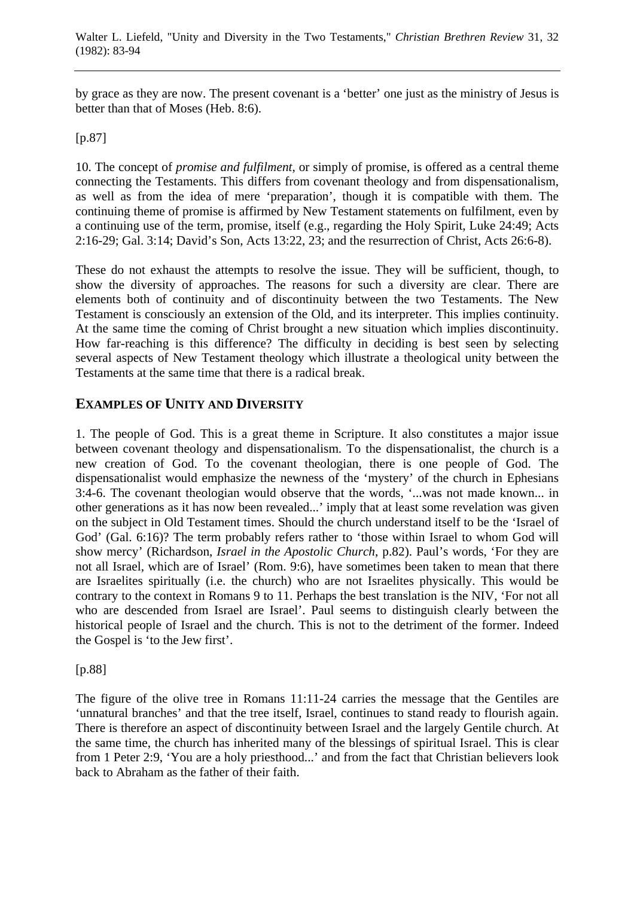by grace as they are now. The present covenant is a 'better' one just as the ministry of Jesus is better than that of Moses (Heb. 8:6).

#### [p.87]

10. The concept of *promise and fulfilment*, or simply of promise, is offered as a central theme connecting the Testaments. This differs from covenant theology and from dispensationalism, as well as from the idea of mere 'preparation', though it is compatible with them. The continuing theme of promise is affirmed by New Testament statements on fulfilment, even by a continuing use of the term, promise, itself (e.g., regarding the Holy Spirit, Luke 24:49; Acts 2:16-29; Gal. 3:14; David's Son, Acts 13:22, 23; and the resurrection of Christ, Acts 26:6-8).

These do not exhaust the attempts to resolve the issue. They will be sufficient, though, to show the diversity of approaches. The reasons for such a diversity are clear. There are elements both of continuity and of discontinuity between the two Testaments. The New Testament is consciously an extension of the Old, and its interpreter. This implies continuity. At the same time the coming of Christ brought a new situation which implies discontinuity. How far-reaching is this difference? The difficulty in deciding is best seen by selecting several aspects of New Testament theology which illustrate a theological unity between the Testaments at the same time that there is a radical break.

## **EXAMPLES OF UNITY AND DIVERSITY**

1. The people of God. This is a great theme in Scripture. It also constitutes a major issue between covenant theology and dispensationalism. To the dispensationalist, the church is a new creation of God. To the covenant theologian, there is one people of God. The dispensationalist would emphasize the newness of the 'mystery' of the church in Ephesians 3:4-6. The covenant theologian would observe that the words, '...was not made known... in other generations as it has now been revealed...' imply that at least some revelation was given on the subject in Old Testament times. Should the church understand itself to be the 'Israel of God' (Gal. 6:16)? The term probably refers rather to 'those within Israel to whom God will show mercy' (Richardson, *Israel in the Apostolic Church*, p.82). Paul's words, 'For they are not all Israel, which are of Israel' (Rom. 9:6), have sometimes been taken to mean that there are Israelites spiritually (i.e. the church) who are not Israelites physically. This would be contrary to the context in Romans 9 to 11. Perhaps the best translation is the NIV, 'For not all who are descended from Israel are Israel'. Paul seems to distinguish clearly between the historical people of Israel and the church. This is not to the detriment of the former. Indeed the Gospel is 'to the Jew first'.

#### [p.88]

The figure of the olive tree in Romans 11:11-24 carries the message that the Gentiles are 'unnatural branches' and that the tree itself, Israel, continues to stand ready to flourish again. There is therefore an aspect of discontinuity between Israel and the largely Gentile church. At the same time, the church has inherited many of the blessings of spiritual Israel. This is clear from 1 Peter 2:9, 'You are a holy priesthood...' and from the fact that Christian believers look back to Abraham as the father of their faith.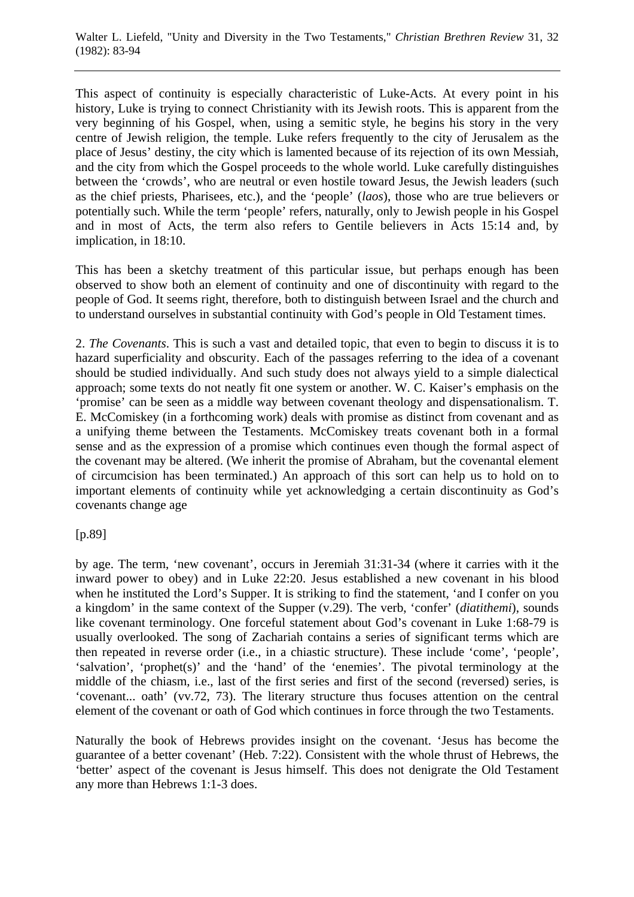This aspect of continuity is especially characteristic of Luke-Acts. At every point in his history, Luke is trying to connect Christianity with its Jewish roots. This is apparent from the very beginning of his Gospel, when, using a semitic style, he begins his story in the very centre of Jewish religion, the temple. Luke refers frequently to the city of Jerusalem as the place of Jesus' destiny, the city which is lamented because of its rejection of its own Messiah, and the city from which the Gospel proceeds to the whole world. Luke carefully distinguishes between the 'crowds', who are neutral or even hostile toward Jesus, the Jewish leaders (such as the chief priests, Pharisees, etc.), and the 'people' (*laos*), those who are true believers or potentially such. While the term 'people' refers, naturally, only to Jewish people in his Gospel and in most of Acts, the term also refers to Gentile believers in Acts 15:14 and, by implication, in 18:10.

This has been a sketchy treatment of this particular issue, but perhaps enough has been observed to show both an element of continuity and one of discontinuity with regard to the people of God. It seems right, therefore, both to distinguish between Israel and the church and to understand ourselves in substantial continuity with God's people in Old Testament times.

2. *The Covenants*. This is such a vast and detailed topic, that even to begin to discuss it is to hazard superficiality and obscurity. Each of the passages referring to the idea of a covenant should be studied individually. And such study does not always yield to a simple dialectical approach; some texts do not neatly fit one system or another. W. C. Kaiser's emphasis on the 'promise' can be seen as a middle way between covenant theology and dispensationalism. T. E. McComiskey (in a forthcoming work) deals with promise as distinct from covenant and as a unifying theme between the Testaments. McComiskey treats covenant both in a formal sense and as the expression of a promise which continues even though the formal aspect of the covenant may be altered. (We inherit the promise of Abraham, but the covenantal element of circumcision has been terminated.) An approach of this sort can help us to hold on to important elements of continuity while yet acknowledging a certain discontinuity as God's covenants change age

[p.89]

by age. The term, 'new covenant', occurs in Jeremiah 31:31-34 (where it carries with it the inward power to obey) and in Luke 22:20. Jesus established a new covenant in his blood when he instituted the Lord's Supper. It is striking to find the statement, 'and I confer on you a kingdom' in the same context of the Supper (v.29). The verb, 'confer' (*diatithemi*), sounds like covenant terminology. One forceful statement about God's covenant in Luke 1:68-79 is usually overlooked. The song of Zachariah contains a series of significant terms which are then repeated in reverse order (i.e., in a chiastic structure). These include 'come', 'people', 'salvation', 'prophet(s)' and the 'hand' of the 'enemies'. The pivotal terminology at the middle of the chiasm, i.e., last of the first series and first of the second (reversed) series, is 'covenant... oath' (vv.72, 73). The literary structure thus focuses attention on the central element of the covenant or oath of God which continues in force through the two Testaments.

Naturally the book of Hebrews provides insight on the covenant. 'Jesus has become the guarantee of a better covenant' (Heb. 7:22). Consistent with the whole thrust of Hebrews, the 'better' aspect of the covenant is Jesus himself. This does not denigrate the Old Testament any more than Hebrews 1:1-3 does.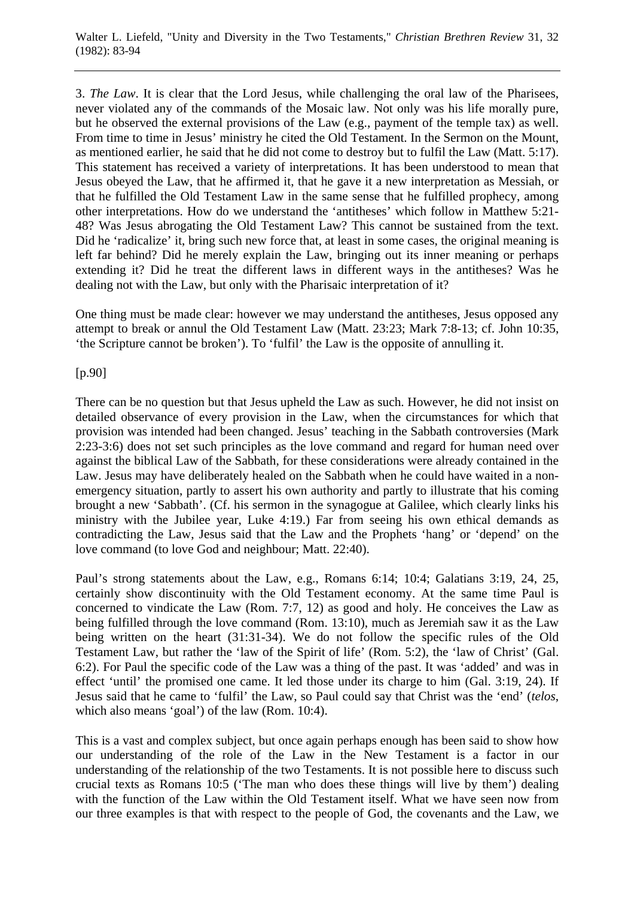3. *The Law*. It is clear that the Lord Jesus, while challenging the oral law of the Pharisees, never violated any of the commands of the Mosaic law. Not only was his life morally pure, but he observed the external provisions of the Law (e.g., payment of the temple tax) as well. From time to time in Jesus' ministry he cited the Old Testament. In the Sermon on the Mount, as mentioned earlier, he said that he did not come to destroy but to fulfil the Law (Matt. 5:17). This statement has received a variety of interpretations. It has been understood to mean that Jesus obeyed the Law, that he affirmed it, that he gave it a new interpretation as Messiah, or that he fulfilled the Old Testament Law in the same sense that he fulfilled prophecy, among other interpretations. How do we understand the 'antitheses' which follow in Matthew 5:21- 48? Was Jesus abrogating the Old Testament Law? This cannot be sustained from the text. Did he 'radicalize' it, bring such new force that, at least in some cases, the original meaning is left far behind? Did he merely explain the Law, bringing out its inner meaning or perhaps extending it? Did he treat the different laws in different ways in the antitheses? Was he dealing not with the Law, but only with the Pharisaic interpretation of it?

One thing must be made clear: however we may understand the antitheses, Jesus opposed any attempt to break or annul the Old Testament Law (Matt. 23:23; Mark 7:8-13; cf. John 10:35, 'the Scripture cannot be broken'). To 'fulfil' the Law is the opposite of annulling it.

[p.90]

There can be no question but that Jesus upheld the Law as such. However, he did not insist on detailed observance of every provision in the Law, when the circumstances for which that provision was intended had been changed. Jesus' teaching in the Sabbath controversies (Mark 2:23-3:6) does not set such principles as the love command and regard for human need over against the biblical Law of the Sabbath, for these considerations were already contained in the Law. Jesus may have deliberately healed on the Sabbath when he could have waited in a nonemergency situation, partly to assert his own authority and partly to illustrate that his coming brought a new 'Sabbath'. (Cf. his sermon in the synagogue at Galilee, which clearly links his ministry with the Jubilee year, Luke 4:19.) Far from seeing his own ethical demands as contradicting the Law, Jesus said that the Law and the Prophets 'hang' or 'depend' on the love command (to love God and neighbour; Matt. 22:40).

Paul's strong statements about the Law, e.g., Romans 6:14; 10:4; Galatians 3:19, 24, 25, certainly show discontinuity with the Old Testament economy. At the same time Paul is concerned to vindicate the Law (Rom. 7:7, 12) as good and holy. He conceives the Law as being fulfilled through the love command (Rom. 13:10), much as Jeremiah saw it as the Law being written on the heart (31:31-34). We do not follow the specific rules of the Old Testament Law, but rather the 'law of the Spirit of life' (Rom. 5:2), the 'law of Christ' (Gal. 6:2). For Paul the specific code of the Law was a thing of the past. It was 'added' and was in effect 'until' the promised one came. It led those under its charge to him (Gal. 3:19, 24). If Jesus said that he came to 'fulfil' the Law, so Paul could say that Christ was the 'end' (*telos*, which also means 'goal') of the law (Rom. 10:4).

This is a vast and complex subject, but once again perhaps enough has been said to show how our understanding of the role of the Law in the New Testament is a factor in our understanding of the relationship of the two Testaments. It is not possible here to discuss such crucial texts as Romans 10:5 ('The man who does these things will live by them') dealing with the function of the Law within the Old Testament itself. What we have seen now from our three examples is that with respect to the people of God, the covenants and the Law, we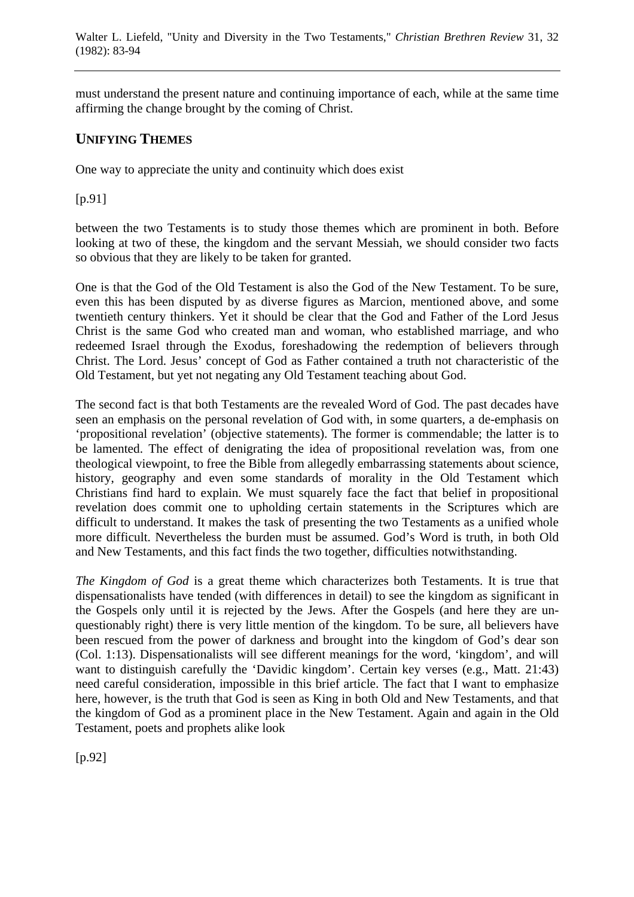must understand the present nature and continuing importance of each, while at the same time affirming the change brought by the coming of Christ.

## **UNIFYING THEMES**

One way to appreciate the unity and continuity which does exist

[p.91]

between the two Testaments is to study those themes which are prominent in both. Before looking at two of these, the kingdom and the servant Messiah, we should consider two facts so obvious that they are likely to be taken for granted.

One is that the God of the Old Testament is also the God of the New Testament. To be sure, even this has been disputed by as diverse figures as Marcion, mentioned above, and some twentieth century thinkers. Yet it should be clear that the God and Father of the Lord Jesus Christ is the same God who created man and woman, who established marriage, and who redeemed Israel through the Exodus, foreshadowing the redemption of believers through Christ. The Lord. Jesus' concept of God as Father contained a truth not characteristic of the Old Testament, but yet not negating any Old Testament teaching about God.

The second fact is that both Testaments are the revealed Word of God. The past decades have seen an emphasis on the personal revelation of God with, in some quarters, a de-emphasis on 'propositional revelation' (objective statements). The former is commendable; the latter is to be lamented. The effect of denigrating the idea of propositional revelation was, from one theological viewpoint, to free the Bible from allegedly embarrassing statements about science, history, geography and even some standards of morality in the Old Testament which Christians find hard to explain. We must squarely face the fact that belief in propositional revelation does commit one to upholding certain statements in the Scriptures which are difficult to understand. It makes the task of presenting the two Testaments as a unified whole more difficult. Nevertheless the burden must be assumed. God's Word is truth, in both Old and New Testaments, and this fact finds the two together, difficulties notwithstanding.

*The Kingdom of God* is a great theme which characterizes both Testaments. It is true that dispensationalists have tended (with differences in detail) to see the kingdom as significant in the Gospels only until it is rejected by the Jews. After the Gospels (and here they are unquestionably right) there is very little mention of the kingdom. To be sure, all believers have been rescued from the power of darkness and brought into the kingdom of God's dear son (Col. 1:13). Dispensationalists will see different meanings for the word, 'kingdom', and will want to distinguish carefully the 'Davidic kingdom'. Certain key verses (e.g., Matt. 21:43) need careful consideration, impossible in this brief article. The fact that I want to emphasize here, however, is the truth that God is seen as King in both Old and New Testaments, and that the kingdom of God as a prominent place in the New Testament. Again and again in the Old Testament, poets and prophets alike look

[p.92]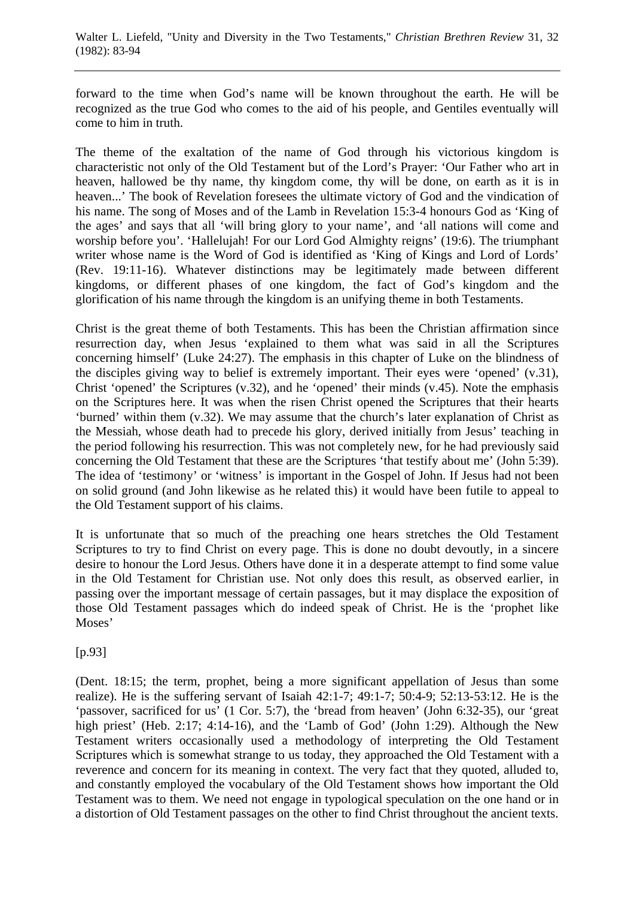forward to the time when God's name will be known throughout the earth. He will be recognized as the true God who comes to the aid of his people, and Gentiles eventually will come to him in truth.

The theme of the exaltation of the name of God through his victorious kingdom is characteristic not only of the Old Testament but of the Lord's Prayer: 'Our Father who art in heaven, hallowed be thy name, thy kingdom come, thy will be done, on earth as it is in heaven...' The book of Revelation foresees the ultimate victory of God and the vindication of his name. The song of Moses and of the Lamb in Revelation 15:3-4 honours God as 'King of the ages' and says that all 'will bring glory to your name', and 'all nations will come and worship before you'. 'Hallelujah! For our Lord God Almighty reigns' (19:6). The triumphant writer whose name is the Word of God is identified as 'King of Kings and Lord of Lords' (Rev. 19:11-16). Whatever distinctions may be legitimately made between different kingdoms, or different phases of one kingdom, the fact of God's kingdom and the glorification of his name through the kingdom is an unifying theme in both Testaments.

Christ is the great theme of both Testaments. This has been the Christian affirmation since resurrection day, when Jesus 'explained to them what was said in all the Scriptures concerning himself' (Luke 24:27). The emphasis in this chapter of Luke on the blindness of the disciples giving way to belief is extremely important. Their eyes were 'opened' (v.31), Christ 'opened' the Scriptures (v.32), and he 'opened' their minds (v.45). Note the emphasis on the Scriptures here. It was when the risen Christ opened the Scriptures that their hearts 'burned' within them (v.32). We may assume that the church's later explanation of Christ as the Messiah, whose death had to precede his glory, derived initially from Jesus' teaching in the period following his resurrection. This was not completely new, for he had previously said concerning the Old Testament that these are the Scriptures 'that testify about me' (John 5:39). The idea of 'testimony' or 'witness' is important in the Gospel of John. If Jesus had not been on solid ground (and John likewise as he related this) it would have been futile to appeal to the Old Testament support of his claims.

It is unfortunate that so much of the preaching one hears stretches the Old Testament Scriptures to try to find Christ on every page. This is done no doubt devoutly, in a sincere desire to honour the Lord Jesus. Others have done it in a desperate attempt to find some value in the Old Testament for Christian use. Not only does this result, as observed earlier, in passing over the important message of certain passages, but it may displace the exposition of those Old Testament passages which do indeed speak of Christ. He is the 'prophet like Moses'

[p.93]

(Dent. 18:15; the term, prophet, being a more significant appellation of Jesus than some realize). He is the suffering servant of Isaiah 42:1-7; 49:1-7; 50:4-9; 52:13-53:12. He is the 'passover, sacrificed for us' (1 Cor. 5:7), the 'bread from heaven' (John 6:32-35), our 'great high priest' (Heb. 2:17; 4:14-16), and the 'Lamb of God' (John 1:29). Although the New Testament writers occasionally used a methodology of interpreting the Old Testament Scriptures which is somewhat strange to us today, they approached the Old Testament with a reverence and concern for its meaning in context. The very fact that they quoted, alluded to, and constantly employed the vocabulary of the Old Testament shows how important the Old Testament was to them. We need not engage in typological speculation on the one hand or in a distortion of Old Testament passages on the other to find Christ throughout the ancient texts.